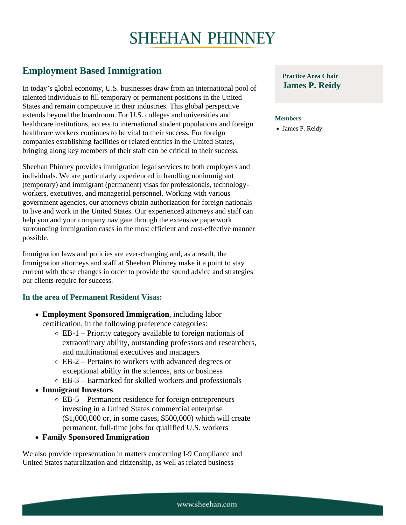## Employment Based Immigration

Members healthcare institutions, access to international student populations and foreign. [James P. Reid](https://www.sheehan.com/attorneys/reidy-james-p/)y In today's global economy, U.S. businesses draw from an international pool of James P. Reidy talented individuals to fill temporary or permanent positions in the United States and remain competitive in their industries. This global perspective extends beyond the boardroom. For U.S. colleges and universities and healthcare workers continues to be vital to their success. For foreign companies establishing facilities or related entities in the United States, bringing along key members of their staff can be critical to their success.

Sheehan Phinney provides immigration legal services to both employers and individuals. We are particularly experienced in handling nonimmigrant (temporary) and immigrant (permanent) visas for professionals, technologyworkers, executives, and managerial personnel. Working with various government agencies, our attorneys obtain authorization for foreign nationals to live and work in the United States. Our experienced attorneys and staff can help you and your company navigate through the extensive paperwork surrounding immigration cases in the most efficient and cost-effective manner possible.

Immigration laws and policies are ever-changing and, as a result, the Immigration attorneys and staff at Sheehan Phinney make it a point to stay current with these changes in order to provide the sound advice and strategies our clients require for success.

## In the area of Permanent Resident Visas:

- Employment Sponsored Immigration, including labor certification, in the following preference categories:
	- $\circ$  EB-1 Priority category available to foreign nationals of extraordinary ability, outstanding professors and researchers, and multinational executives and managers
	- EB-2 Pertains to workers with advanced degrees or exceptional ability in the sciences, arts or business
	- EB-3 Earmarked for skilled workers and professionals
- Immigrant Investors
	- $\circ$  EB-5 Permanent residence for foreign entrepreneurs investing in a United States commercial enterprise (\$1,000,000 or, in some cases, \$500,000) which will create permanent, full-time jobs for qualified U.S. workers
- Family Sponsored Immigration

We also provide representation in matters concerning I-9 Compliance and United States naturalization and citizenship, as well as related business

Practice Area Chair